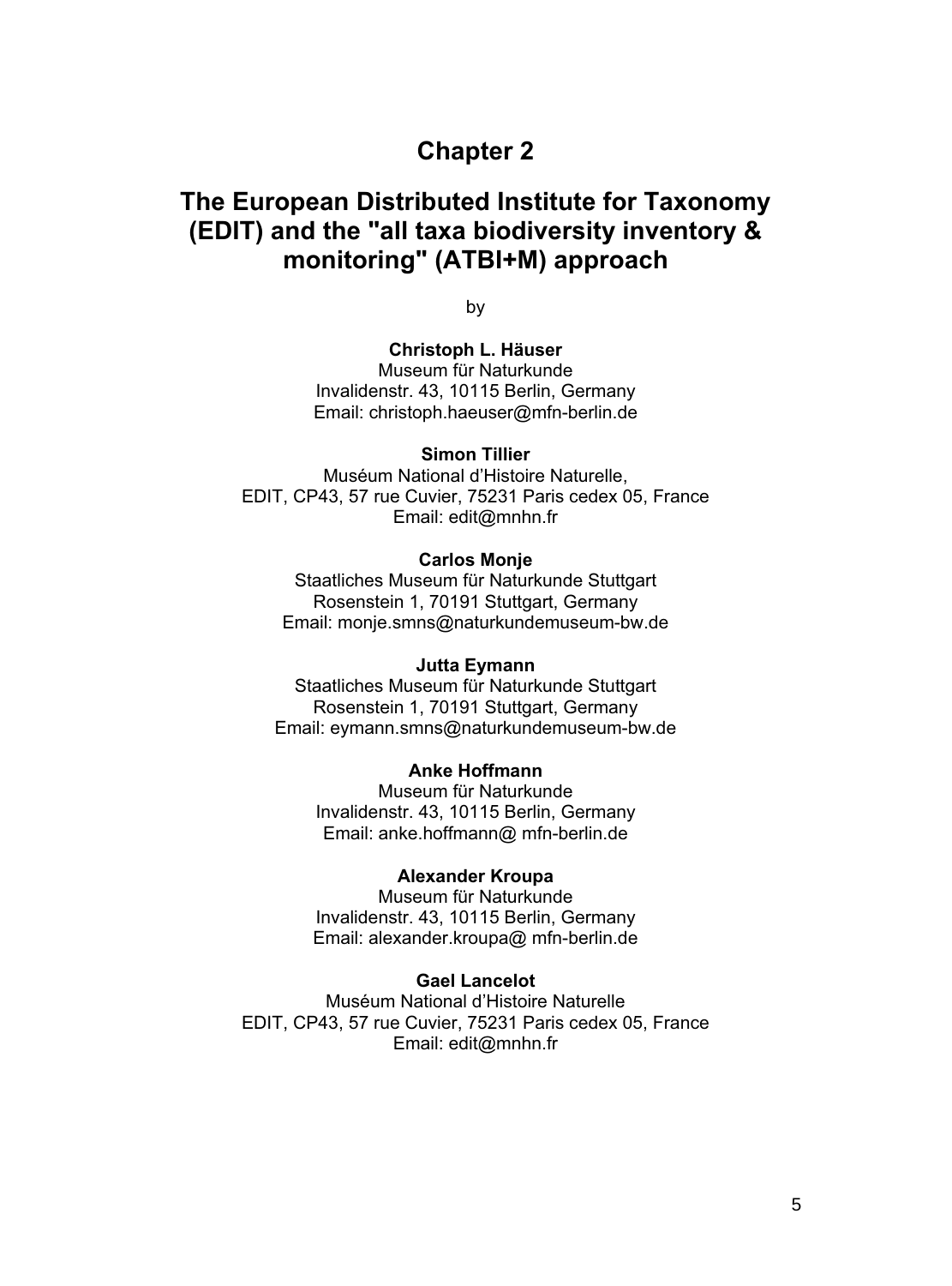# **Chapter 2**

# **The European Distributed Institute for Taxonomy (EDIT) and the "all taxa biodiversity inventory & monitoring" (ATBI+M) approach**

by

## **Christoph L. Häuser**

Museum für Naturkunde Invalidenstr. 43, 10115 Berlin, Germany Email: christoph.haeuser@mfn-berlin.de

#### **Simon Tillier**

Muséum National d'Histoire Naturelle, EDIT, CP43, 57 rue Cuvier, 75231 Paris cedex 05, France Email: edit@mnhn.fr

### **Carlos Monje**

Staatliches Museum für Naturkunde Stuttgart Rosenstein 1, 70191 Stuttgart, Germany Email: monje.smns@naturkundemuseum-bw.de

#### **Jutta Eymann**

Staatliches Museum für Naturkunde Stuttgart Rosenstein 1, 70191 Stuttgart, Germany Email: eymann.smns@naturkundemuseum-bw.de

# **Anke Hoffmann**

Museum für Naturkunde Invalidenstr. 43, 10115 Berlin, Germany Email: anke.hoffmann@ mfn-berlin.de

### **Alexander Kroupa**

Museum für Naturkunde Invalidenstr. 43, 10115 Berlin, Germany Email: alexander.kroupa@ mfn-berlin.de

#### **Gael Lancelot**

Muséum National d'Histoire Naturelle EDIT, CP43, 57 rue Cuvier, 75231 Paris cedex 05, France Email: edit@mnhn.fr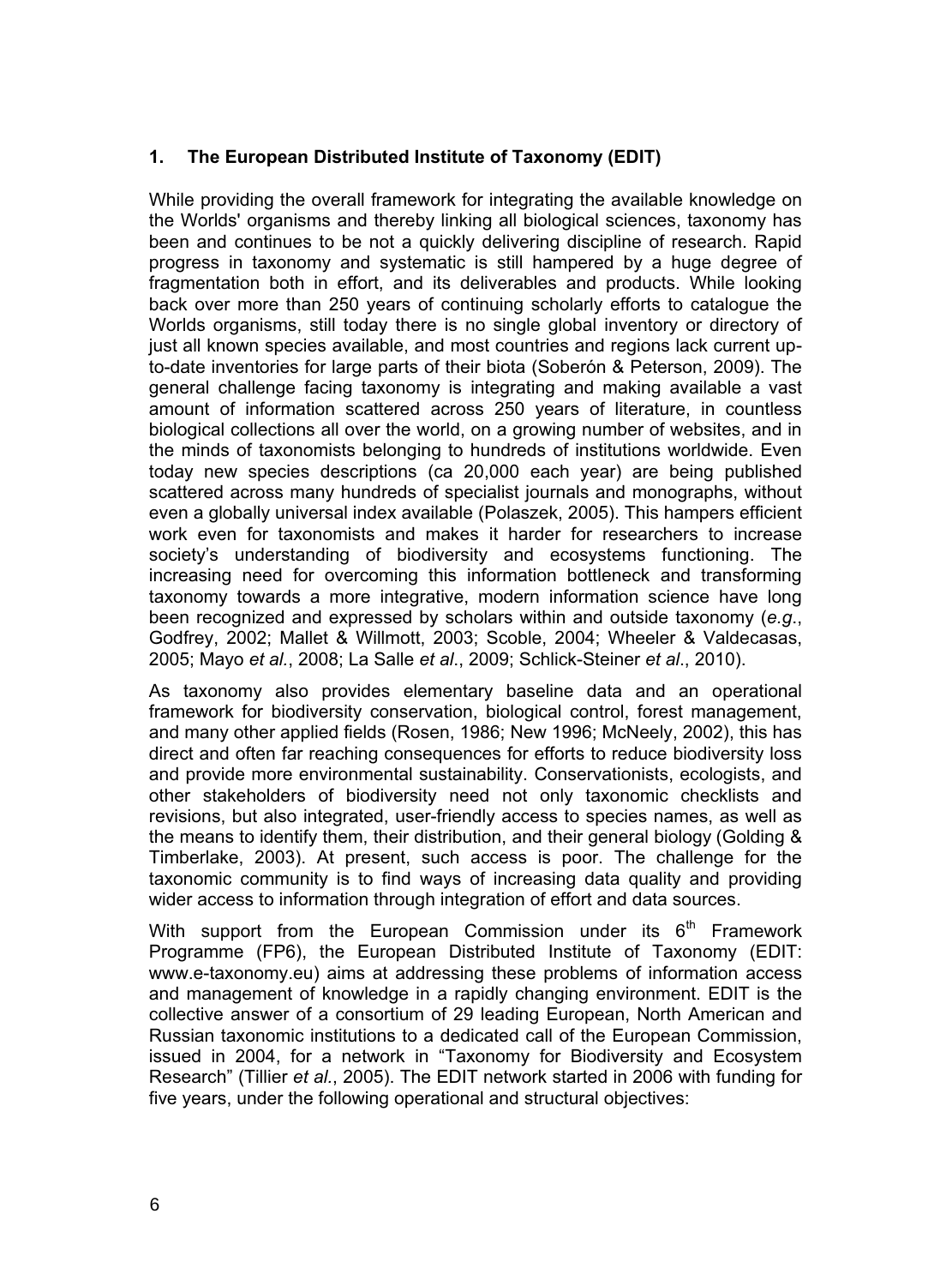# **1. The European Distributed Institute of Taxonomy (EDIT)**

While providing the overall framework for integrating the available knowledge on the Worlds' organisms and thereby linking all biological sciences, taxonomy has been and continues to be not a quickly delivering discipline of research. Rapid progress in taxonomy and systematic is still hampered by a huge degree of fragmentation both in effort, and its deliverables and products. While looking back over more than 250 years of continuing scholarly efforts to catalogue the Worlds organisms, still today there is no single global inventory or directory of just all known species available, and most countries and regions lack current upto-date inventories for large parts of their biota (Soberón & Peterson, 2009). The general challenge facing taxonomy is integrating and making available a vast amount of information scattered across 250 years of literature, in countless biological collections all over the world, on a growing number of websites, and in the minds of taxonomists belonging to hundreds of institutions worldwide. Even today new species descriptions (ca 20,000 each year) are being published scattered across many hundreds of specialist journals and monographs, without even a globally universal index available (Polaszek, 2005). This hampers efficient work even for taxonomists and makes it harder for researchers to increase society's understanding of biodiversity and ecosystems functioning. The increasing need for overcoming this information bottleneck and transforming taxonomy towards a more integrative, modern information science have long been recognized and expressed by scholars within and outside taxonomy (*e.g*., Godfrey, 2002; Mallet & Willmott, 2003; Scoble, 2004; Wheeler & Valdecasas, 2005; Mayo *et al.*, 2008; La Salle *et al*., 2009; Schlick-Steiner *et al*., 2010).

As taxonomy also provides elementary baseline data and an operational framework for biodiversity conservation, biological control, forest management, and many other applied fields (Rosen, 1986; New 1996; McNeely, 2002), this has direct and often far reaching consequences for efforts to reduce biodiversity loss and provide more environmental sustainability. Conservationists, ecologists, and other stakeholders of biodiversity need not only taxonomic checklists and revisions, but also integrated, user-friendly access to species names, as well as the means to identify them, their distribution, and their general biology (Golding & Timberlake, 2003). At present, such access is poor. The challenge for the taxonomic community is to find ways of increasing data quality and providing wider access to information through integration of effort and data sources.

With support from the European Commission under its  $6<sup>th</sup>$  Framework Programme (FP6), the European Distributed Institute of Taxonomy (EDIT: www.e-taxonomy.eu) aims at addressing these problems of information access and management of knowledge in a rapidly changing environment. EDIT is the collective answer of a consortium of 29 leading European, North American and Russian taxonomic institutions to a dedicated call of the European Commission, issued in 2004, for a network in "Taxonomy for Biodiversity and Ecosystem Research" (Tillier *et al.*, 2005). The EDIT network started in 2006 with funding for five years, under the following operational and structural objectives: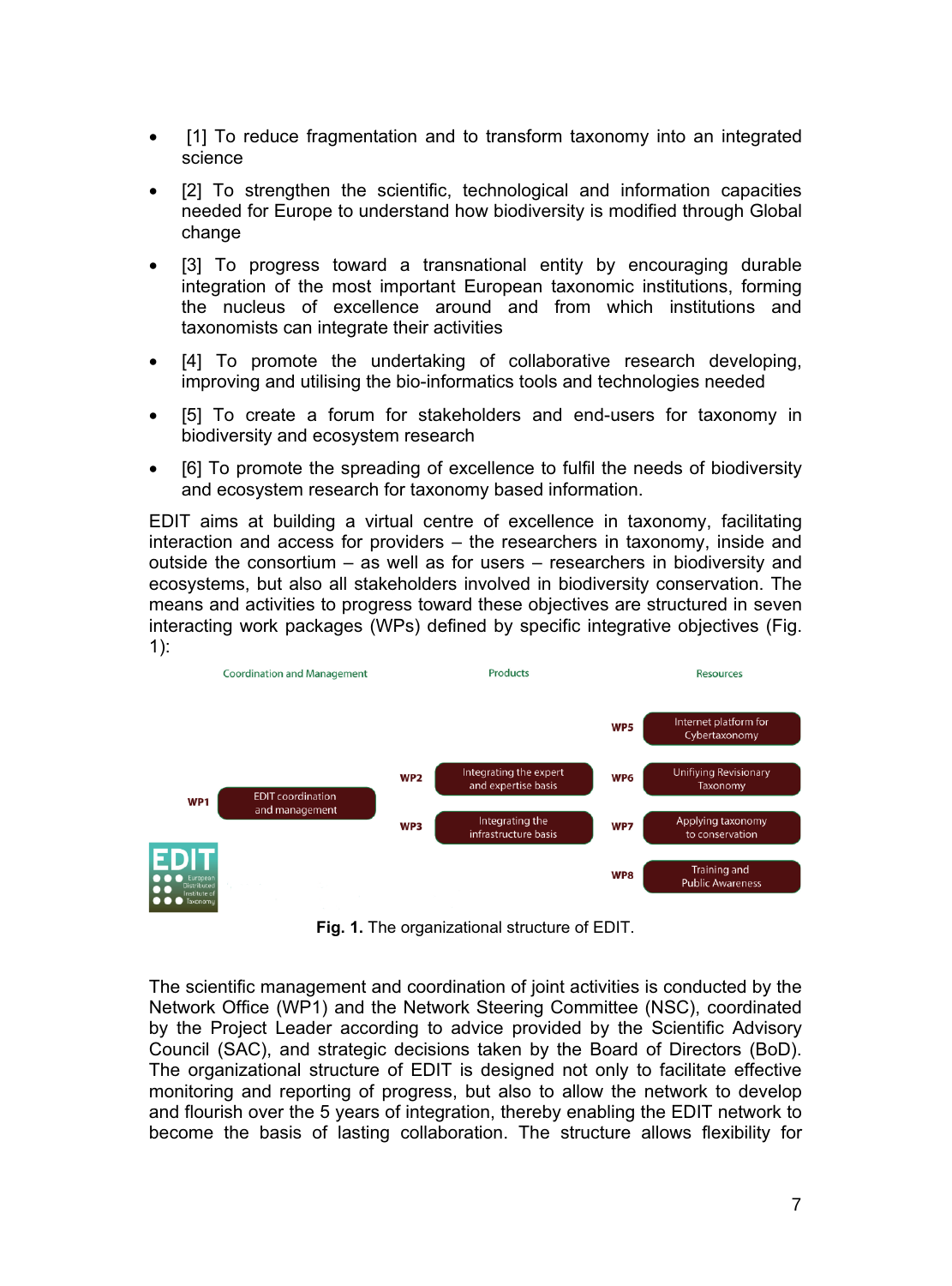- - [1] To reduce fragmentation and to transform taxonomy into an integrated science
- -[2] To strengthen the scientific, technological and information capacities needed for Europe to understand how biodiversity is modified through Global change
- $\bullet$  [3] To progress toward a transnational entity by encouraging durable integration of the most important European taxonomic institutions, forming the nucleus of excellence around and from which institutions and taxonomists can integrate their activities
- - [4] To promote the undertaking of collaborative research developing, improving and utilising the bio-informatics tools and technologies needed
- - [5] To create a forum for stakeholders and end-users for taxonomy in biodiversity and ecosystem research
- $\bullet$  [6] To promote the spreading of excellence to fulfil the needs of biodiversity and ecosystem research for taxonomy based information.

EDIT aims at building a virtual centre of excellence in taxonomy, facilitating interaction and access for providers – the researchers in taxonomy, inside and outside the consortium – as well as for users – researchers in biodiversity and ecosystems, but also all stakeholders involved in biodiversity conservation. The means and activities to progress toward these objectives are structured in seven interacting work packages (WPs) defined by specific integrative objectives (Fig. 1):



**Fig. 1.** The organizational structure of EDIT.

The scientific management and coordination of joint activities is conducted by the Network Office (WP1) and the Network Steering Committee (NSC), coordinated by the Project Leader according to advice provided by the Scientific Advisory Council (SAC), and strategic decisions taken by the Board of Directors (BoD). The organizational structure of EDIT is designed not only to facilitate effective monitoring and reporting of progress, but also to allow the network to develop and flourish over the 5 years of integration, thereby enabling the EDIT network to become the basis of lasting collaboration. The structure allows flexibility for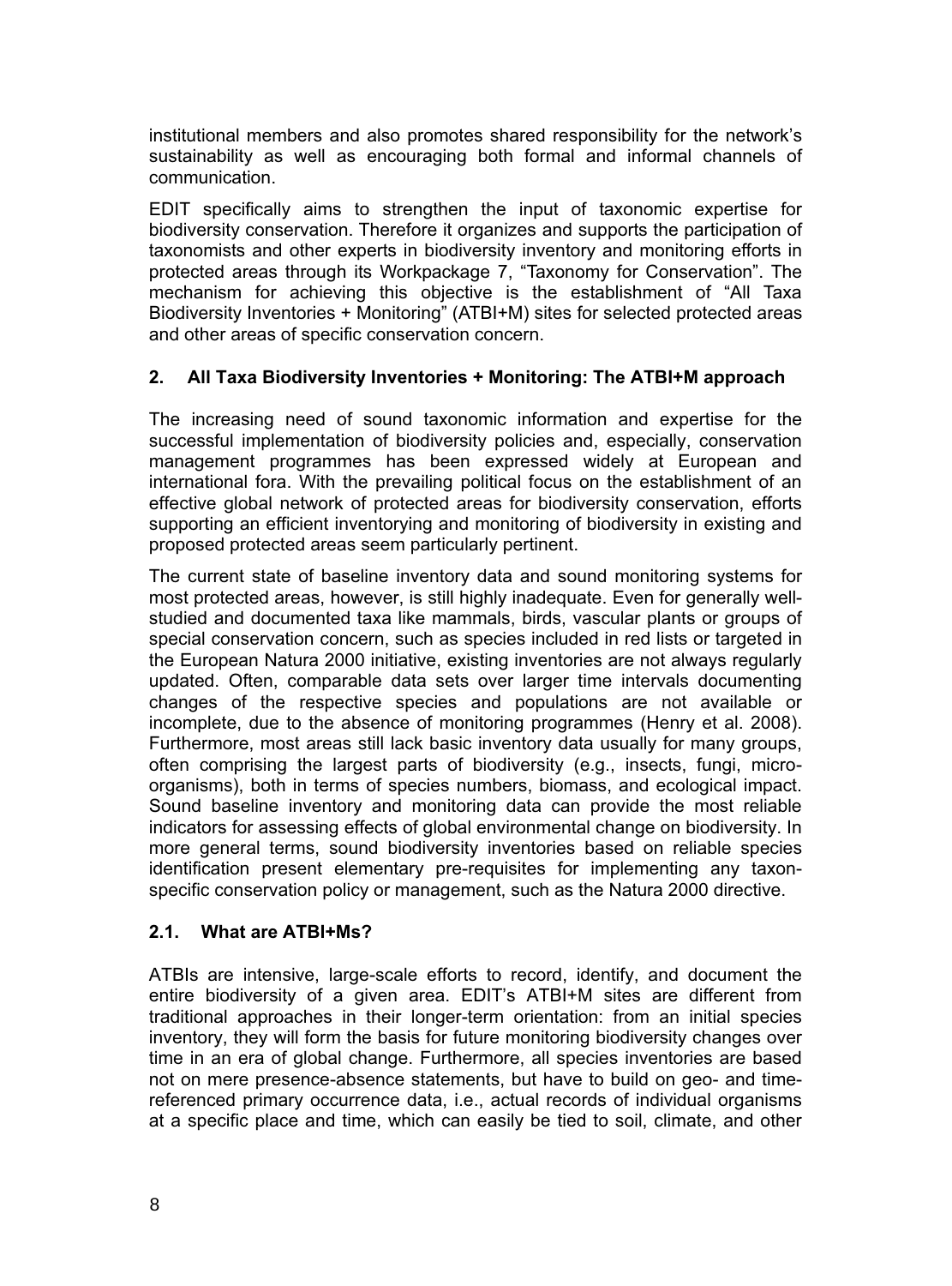institutional members and also promotes shared responsibility for the network's sustainability as well as encouraging both formal and informal channels of communication.

EDIT specifically aims to strengthen the input of taxonomic expertise for biodiversity conservation. Therefore it organizes and supports the participation of taxonomists and other experts in biodiversity inventory and monitoring efforts in protected areas through its Workpackage 7, "Taxonomy for Conservation". The mechanism for achieving this objective is the establishment of "All Taxa Biodiversity Inventories + Monitoring" (ATBI+M) sites for selected protected areas and other areas of specific conservation concern.

# **2. All Taxa Biodiversity Inventories + Monitoring: The ATBI+M approach**

The increasing need of sound taxonomic information and expertise for the successful implementation of biodiversity policies and, especially, conservation management programmes has been expressed widely at European and international fora. With the prevailing political focus on the establishment of an effective global network of protected areas for biodiversity conservation, efforts supporting an efficient inventorying and monitoring of biodiversity in existing and proposed protected areas seem particularly pertinent.

The current state of baseline inventory data and sound monitoring systems for most protected areas, however, is still highly inadequate. Even for generally wellstudied and documented taxa like mammals, birds, vascular plants or groups of special conservation concern, such as species included in red lists or targeted in the European Natura 2000 initiative, existing inventories are not always regularly updated. Often, comparable data sets over larger time intervals documenting changes of the respective species and populations are not available or incomplete, due to the absence of monitoring programmes (Henry et al. 2008). Furthermore, most areas still lack basic inventory data usually for many groups, often comprising the largest parts of biodiversity (e.g., insects, fungi, microorganisms), both in terms of species numbers, biomass, and ecological impact. Sound baseline inventory and monitoring data can provide the most reliable indicators for assessing effects of global environmental change on biodiversity. In more general terms, sound biodiversity inventories based on reliable species identification present elementary pre-requisites for implementing any taxonspecific conservation policy or management, such as the Natura 2000 directive.

### **2.1. What are ATBI+Ms?**

ATBIs are intensive, large-scale efforts to record, identify, and document the entire biodiversity of a given area. EDIT's ATBI+M sites are different from traditional approaches in their longer-term orientation: from an initial species inventory, they will form the basis for future monitoring biodiversity changes over time in an era of global change. Furthermore, all species inventories are based not on mere presence-absence statements, but have to build on geo- and timereferenced primary occurrence data, i.e., actual records of individual organisms at a specific place and time, which can easily be tied to soil, climate, and other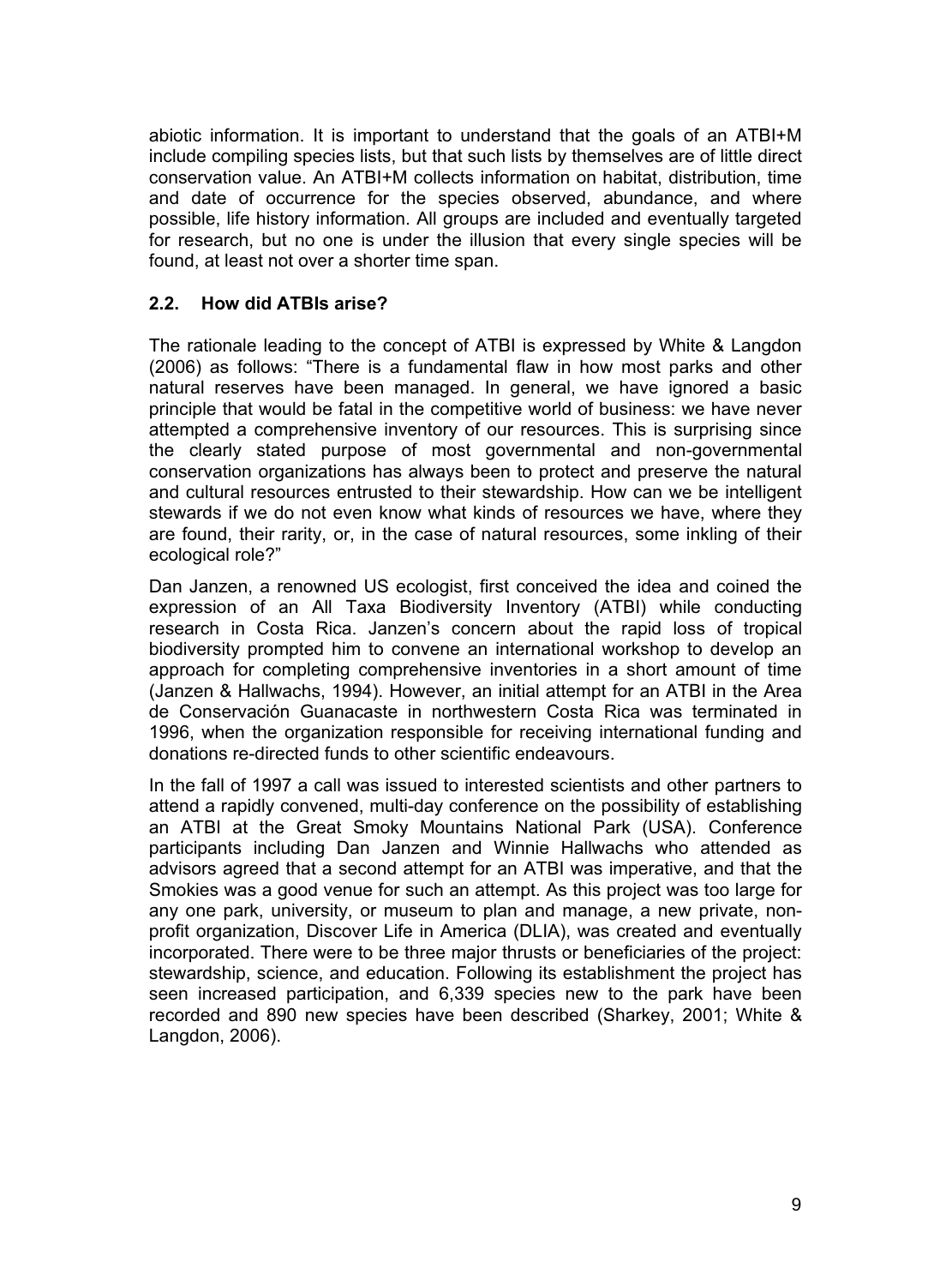abiotic information. It is important to understand that the goals of an ATBI+M include compiling species lists, but that such lists by themselves are of little direct conservation value. An ATBI+M collects information on habitat, distribution, time and date of occurrence for the species observed, abundance, and where possible, life history information. All groups are included and eventually targeted for research, but no one is under the illusion that every single species will be found, at least not over a shorter time span.

# **2.2. How did ATBIs arise?**

The rationale leading to the concept of ATBI is expressed by White & Langdon (2006) as follows: "There is a fundamental flaw in how most parks and other natural reserves have been managed. In general, we have ignored a basic principle that would be fatal in the competitive world of business: we have never attempted a comprehensive inventory of our resources. This is surprising since the clearly stated purpose of most governmental and non-governmental conservation organizations has always been to protect and preserve the natural and cultural resources entrusted to their stewardship. How can we be intelligent stewards if we do not even know what kinds of resources we have, where they are found, their rarity, or, in the case of natural resources, some inkling of their ecological role?"

Dan Janzen, a renowned US ecologist, first conceived the idea and coined the expression of an All Taxa Biodiversity Inventory (ATBI) while conducting research in Costa Rica. Janzen's concern about the rapid loss of tropical biodiversity prompted him to convene an international workshop to develop an approach for completing comprehensive inventories in a short amount of time (Janzen & Hallwachs, 1994). However, an initial attempt for an ATBI in the Area de Conservación Guanacaste in northwestern Costa Rica was terminated in 1996, when the organization responsible for receiving international funding and donations re-directed funds to other scientific endeavours.

In the fall of 1997 a call was issued to interested scientists and other partners to attend a rapidly convened, multi-day conference on the possibility of establishing an ATBI at the Great Smoky Mountains National Park (USA). Conference participants including Dan Janzen and Winnie Hallwachs who attended as advisors agreed that a second attempt for an ATBI was imperative, and that the Smokies was a good venue for such an attempt. As this project was too large for any one park, university, or museum to plan and manage, a new private, nonprofit organization, Discover Life in America (DLIA), was created and eventually incorporated. There were to be three major thrusts or beneficiaries of the project: stewardship, science, and education. Following its establishment the project has seen increased participation, and 6,339 species new to the park have been recorded and 890 new species have been described (Sharkey, 2001; White & Langdon, 2006).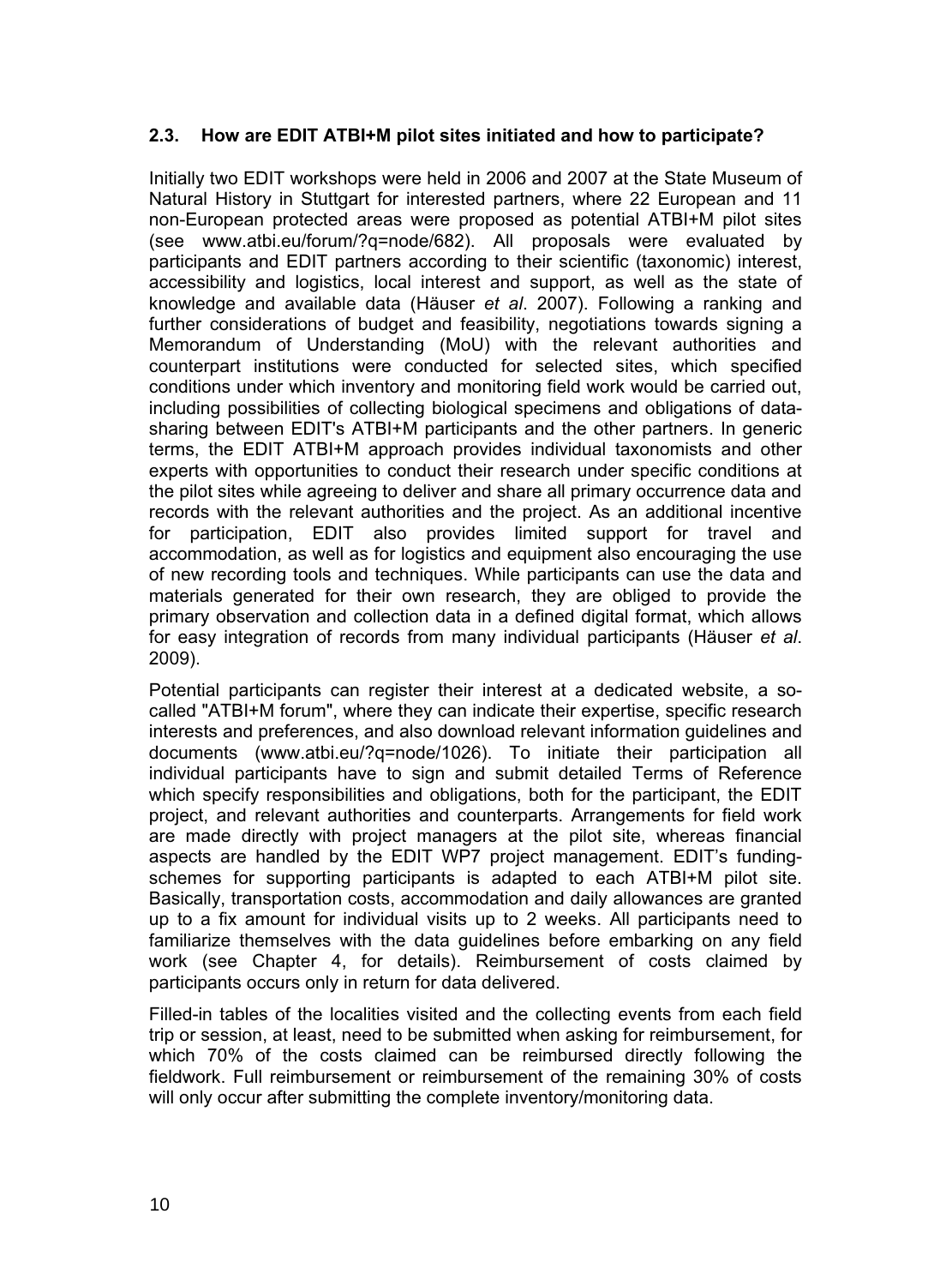## **2.3. How are EDIT ATBI+M pilot sites initiated and how to participate?**

Initially two EDIT workshops were held in 2006 and 2007 at the State Museum of Natural History in Stuttgart for interested partners, where 22 European and 11 non-European protected areas were proposed as potential ATBI+M pilot sites (see www.atbi.eu/forum/?q=node/682). All proposals were evaluated by participants and EDIT partners according to their scientific (taxonomic) interest, accessibility and logistics, local interest and support, as well as the state of knowledge and available data (Häuser *et al*. 2007). Following a ranking and further considerations of budget and feasibility, negotiations towards signing a Memorandum of Understanding (MoU) with the relevant authorities and counterpart institutions were conducted for selected sites, which specified conditions under which inventory and monitoring field work would be carried out, including possibilities of collecting biological specimens and obligations of datasharing between EDIT's ATBI+M participants and the other partners. In generic terms, the EDIT ATBI+M approach provides individual taxonomists and other experts with opportunities to conduct their research under specific conditions at the pilot sites while agreeing to deliver and share all primary occurrence data and records with the relevant authorities and the project. As an additional incentive for participation, EDIT also provides limited support for travel and accommodation, as well as for logistics and equipment also encouraging the use of new recording tools and techniques. While participants can use the data and materials generated for their own research, they are obliged to provide the primary observation and collection data in a defined digital format, which allows for easy integration of records from many individual participants (Häuser *et al*. 2009).

Potential participants can register their interest at a dedicated website, a socalled "ATBI+M forum", where they can indicate their expertise, specific research interests and preferences, and also download relevant information guidelines and documents (www.atbi.eu/?q=node/1026). To initiate their participation all individual participants have to sign and submit detailed Terms of Reference which specify responsibilities and obligations, both for the participant, the EDIT project, and relevant authorities and counterparts. Arrangements for field work are made directly with project managers at the pilot site, whereas financial aspects are handled by the EDIT WP7 project management. EDIT's fundingschemes for supporting participants is adapted to each ATBI+M pilot site. Basically, transportation costs, accommodation and daily allowances are granted up to a fix amount for individual visits up to 2 weeks. All participants need to familiarize themselves with the data guidelines before embarking on any field work (see Chapter 4, for details). Reimbursement of costs claimed by participants occurs only in return for data delivered.

Filled-in tables of the localities visited and the collecting events from each field trip or session, at least, need to be submitted when asking for reimbursement, for which 70% of the costs claimed can be reimbursed directly following the fieldwork. Full reimbursement or reimbursement of the remaining 30% of costs will only occur after submitting the complete inventory/monitoring data.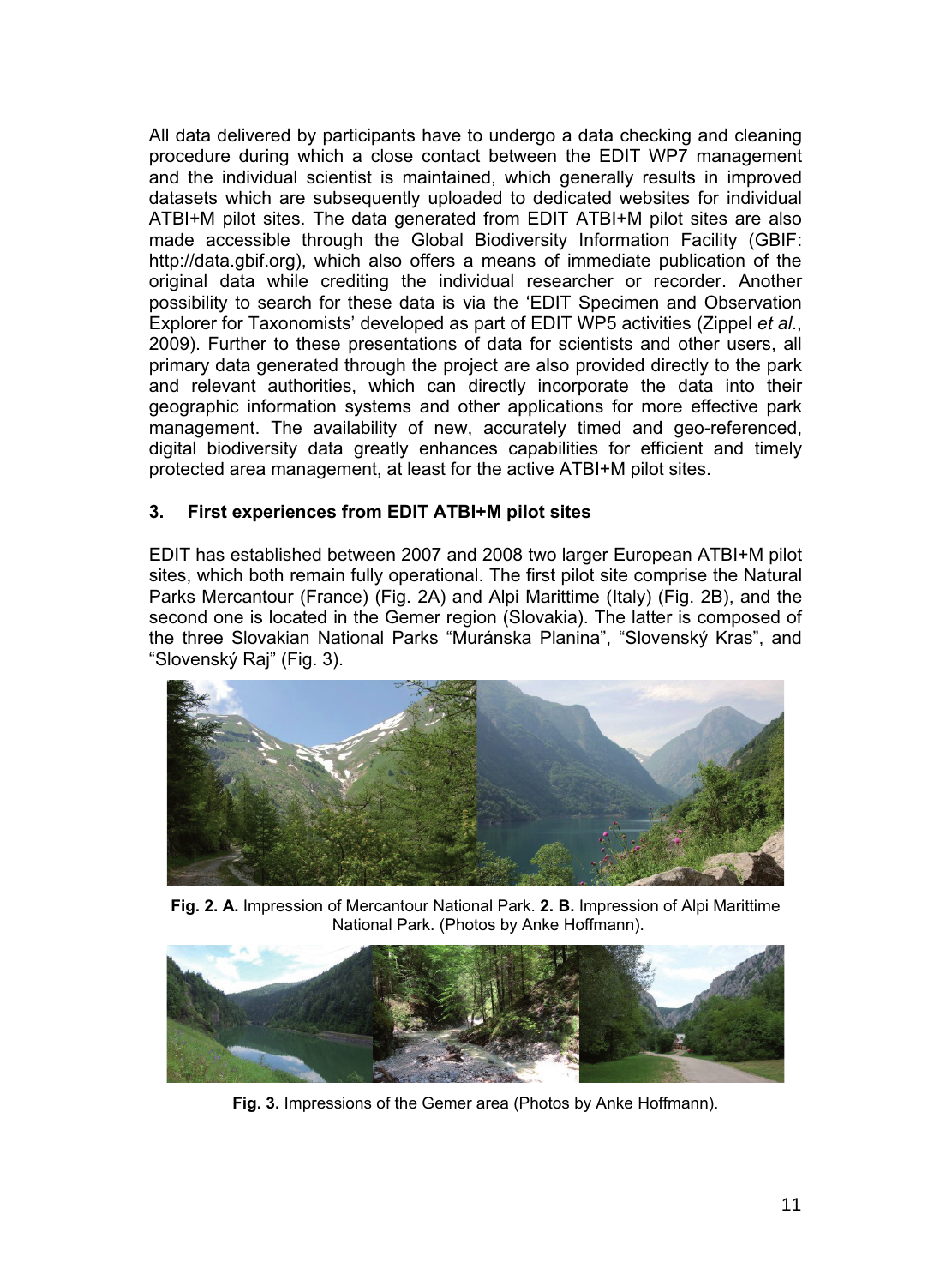All data delivered by participants have to undergo a data checking and cleaning procedure during which a close contact between the EDIT WP7 management and the individual scientist is maintained, which generally results in improved datasets which are subsequently uploaded to dedicated websites for individual ATBI+M pilot sites. The data generated from EDIT ATBI+M pilot sites are also made accessible through the Global Biodiversity Information Facility (GBIF: http://data.gbif.org), which also offers a means of immediate publication of the original data while crediting the individual researcher or recorder. Another possibility to search for these data is via the 'EDIT Specimen and Observation Explorer for Taxonomists' developed as part of EDIT WP5 activities (Zippel *et al*., 2009). Further to these presentations of data for scientists and other users, all primary data generated through the project are also provided directly to the park and relevant authorities, which can directly incorporate the data into their geographic information systems and other applications for more effective park management. The availability of new, accurately timed and geo-referenced, digital biodiversity data greatly enhances capabilities for efficient and timely protected area management, at least for the active ATBI+M pilot sites.

# **3. First experiences from EDIT ATBI+M pilot sites**

EDIT has established between 2007 and 2008 two larger European ATBI+M pilot sites, which both remain fully operational. The first pilot site comprise the Natural Parks Mercantour (France) (Fig. 2A) and Alpi Marittime (Italy) (Fig. 2B), and the second one is located in the Gemer region (Slovakia). The latter is composed of the three Slovakian National Parks "Muránska Planina", "Slovenský Kras", and "Slovenský Raj" (Fig. 3).



**Fig. 2. A.** Impression of Mercantour National Park. **2. B.** Impression of Alpi Marittime National Park. (Photos by Anke Hoffmann).



**Fig. 3.** Impressions of the Gemer area (Photos by Anke Hoffmann).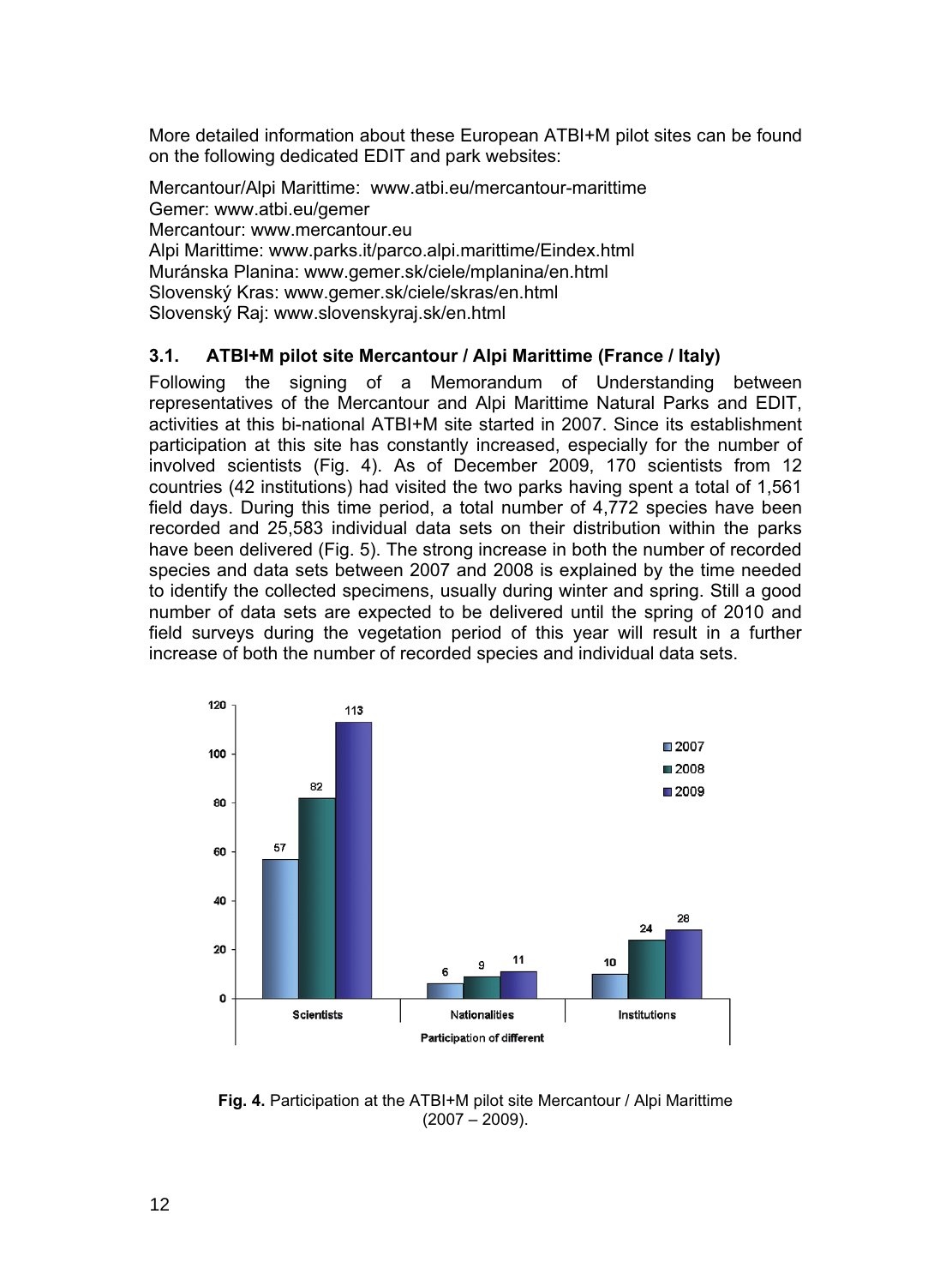More detailed information about these European ATBI+M pilot sites can be found on the following dedicated EDIT and park websites:

Mercantour/Alpi Marittime: www.atbi.eu/mercantour-marittime Gemer: www.atbi.eu/gemer Mercantour: www.mercantour.eu Alpi Marittime: www.parks.it/parco.alpi.marittime/Eindex.html Muránska Planina: www.gemer.sk/ciele/mplanina/en.html Slovenský Kras: www.gemer.sk/ciele/skras/en.html Slovenský Raj: www.slovenskyraj.sk/en.html

# **3.1. ATBI+M pilot site Mercantour / Alpi Marittime (France / Italy)**

Following the signing of a Memorandum of Understanding between representatives of the Mercantour and Alpi Marittime Natural Parks and EDIT, activities at this bi-national ATBI+M site started in 2007. Since its establishment participation at this site has constantly increased, especially for the number of involved scientists (Fig. 4). As of December 2009, 170 scientists from 12 countries (42 institutions) had visited the two parks having spent a total of 1,561 field days. During this time period, a total number of 4,772 species have been recorded and 25,583 individual data sets on their distribution within the parks have been delivered (Fig. 5). The strong increase in both the number of recorded species and data sets between 2007 and 2008 is explained by the time needed to identify the collected specimens, usually during winter and spring. Still a good number of data sets are expected to be delivered until the spring of 2010 and field surveys during the vegetation period of this year will result in a further increase of both the number of recorded species and individual data sets.



**Fig. 4.** Participation at the ATBI+M pilot site Mercantour / Alpi Marittime  $(2007 - 2009)$ .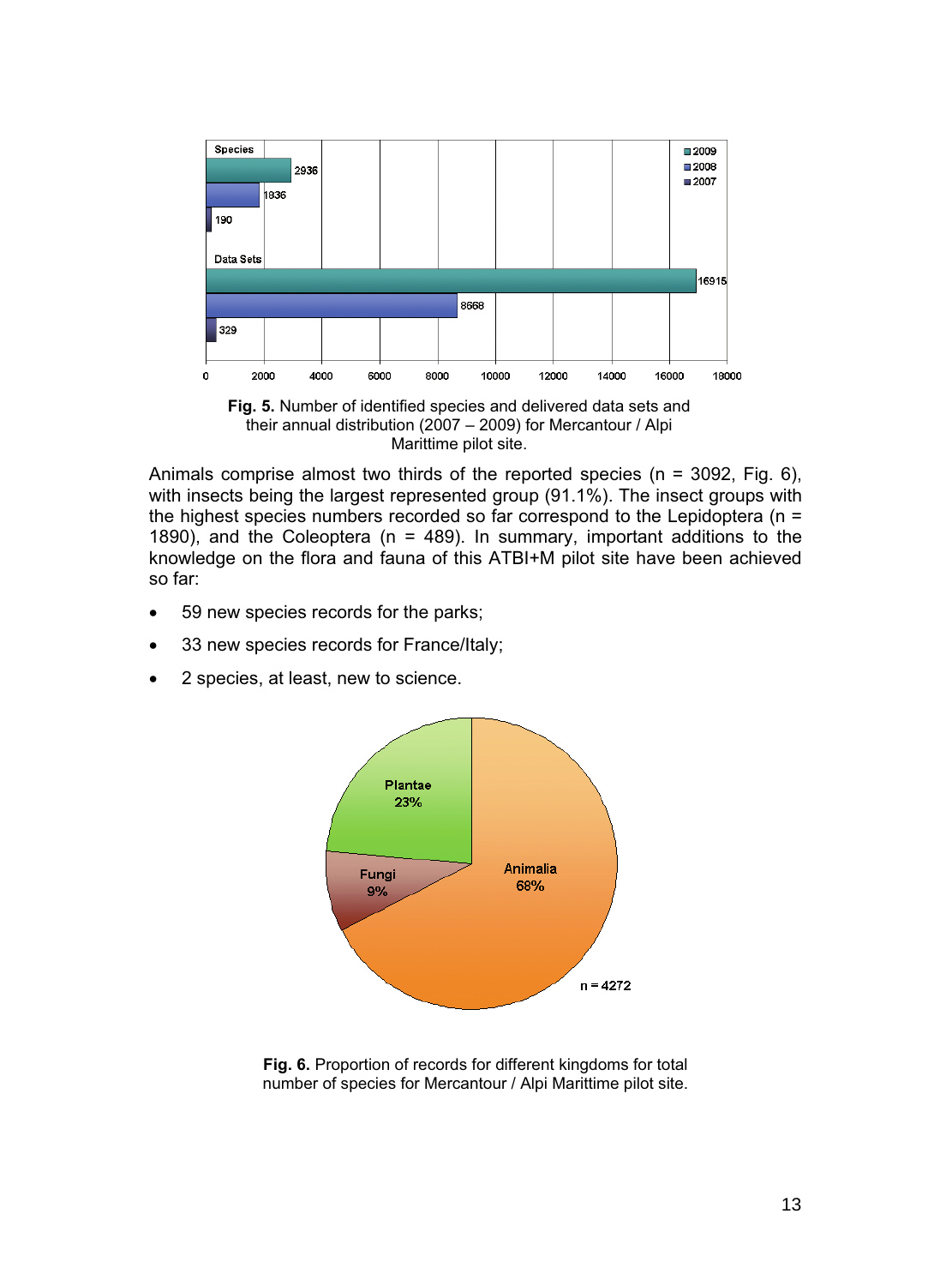

**Fig. 5.** Number of identified species and delivered data sets and their annual distribution (2007 – 2009) for Mercantour / Alpi Marittime pilot site.

Animals comprise almost two thirds of the reported species ( $n = 3092$ , Fig. 6), with insects being the largest represented group (91.1%). The insect groups with the highest species numbers recorded so far correspond to the Lepidoptera (n = 1890), and the Coleoptera ( $n = 489$ ). In summary, important additions to the knowledge on the flora and fauna of this ATBI+M pilot site have been achieved so far:

- -59 new species records for the parks;
- -33 new species records for France/Italy;
- -2 species, at least, new to science.



**Fig. 6.** Proportion of records for different kingdoms for total number of species for Mercantour / Alpi Marittime pilot site.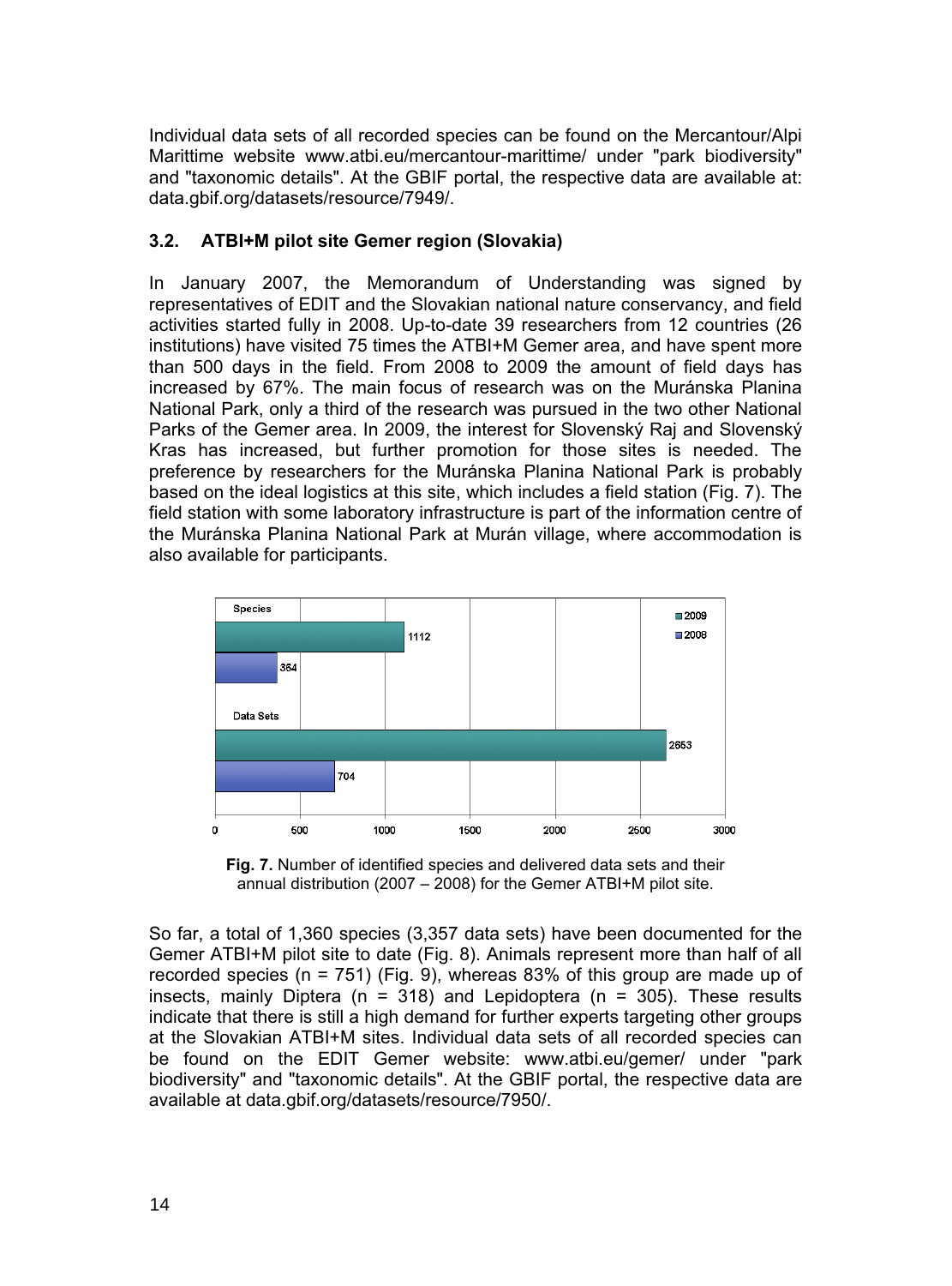Individual data sets of all recorded species can be found on the Mercantour/Alpi Marittime website www.atbi.eu/mercantour-marittime/ under "park biodiversity" and "taxonomic details". At the GBIF portal, the respective data are available at: data.gbif.org/datasets/resource/7949/.

# **3.2. ATBI+M pilot site Gemer region (Slovakia)**

In January 2007, the Memorandum of Understanding was signed by representatives of EDIT and the Slovakian national nature conservancy, and field activities started fully in 2008. Up-to-date 39 researchers from 12 countries (26 institutions) have visited 75 times the ATBI+M Gemer area, and have spent more than 500 days in the field. From 2008 to 2009 the amount of field days has increased by 67%. The main focus of research was on the Muránska Planina National Park, only a third of the research was pursued in the two other National Parks of the Gemer area. In 2009, the interest for Slovenský Raj and Slovenský Kras has increased, but further promotion for those sites is needed. The preference by researchers for the Muránska Planina National Park is probably based on the ideal logistics at this site, which includes a field station (Fig. 7). The field station with some laboratory infrastructure is part of the information centre of the Muránska Planina National Park at Murán village, where accommodation is also available for participants.



**Fig. 7.** Number of identified species and delivered data sets and their annual distribution (2007 – 2008) for the Gemer ATBI+M pilot site.

So far, a total of 1,360 species (3,357 data sets) have been documented for the Gemer ATBI+M pilot site to date (Fig. 8). Animals represent more than half of all recorded species ( $n = 751$ ) (Fig. 9), whereas 83% of this group are made up of insects, mainly Diptera ( $n = 318$ ) and Lepidoptera ( $n = 305$ ). These results indicate that there is still a high demand for further experts targeting other groups at the Slovakian ATBI+M sites. Individual data sets of all recorded species can be found on the EDIT Gemer website: www.atbi.eu/gemer/ under "park biodiversity" and "taxonomic details". At the GBIF portal, the respective data are available at data.gbif.org/datasets/resource/7950/.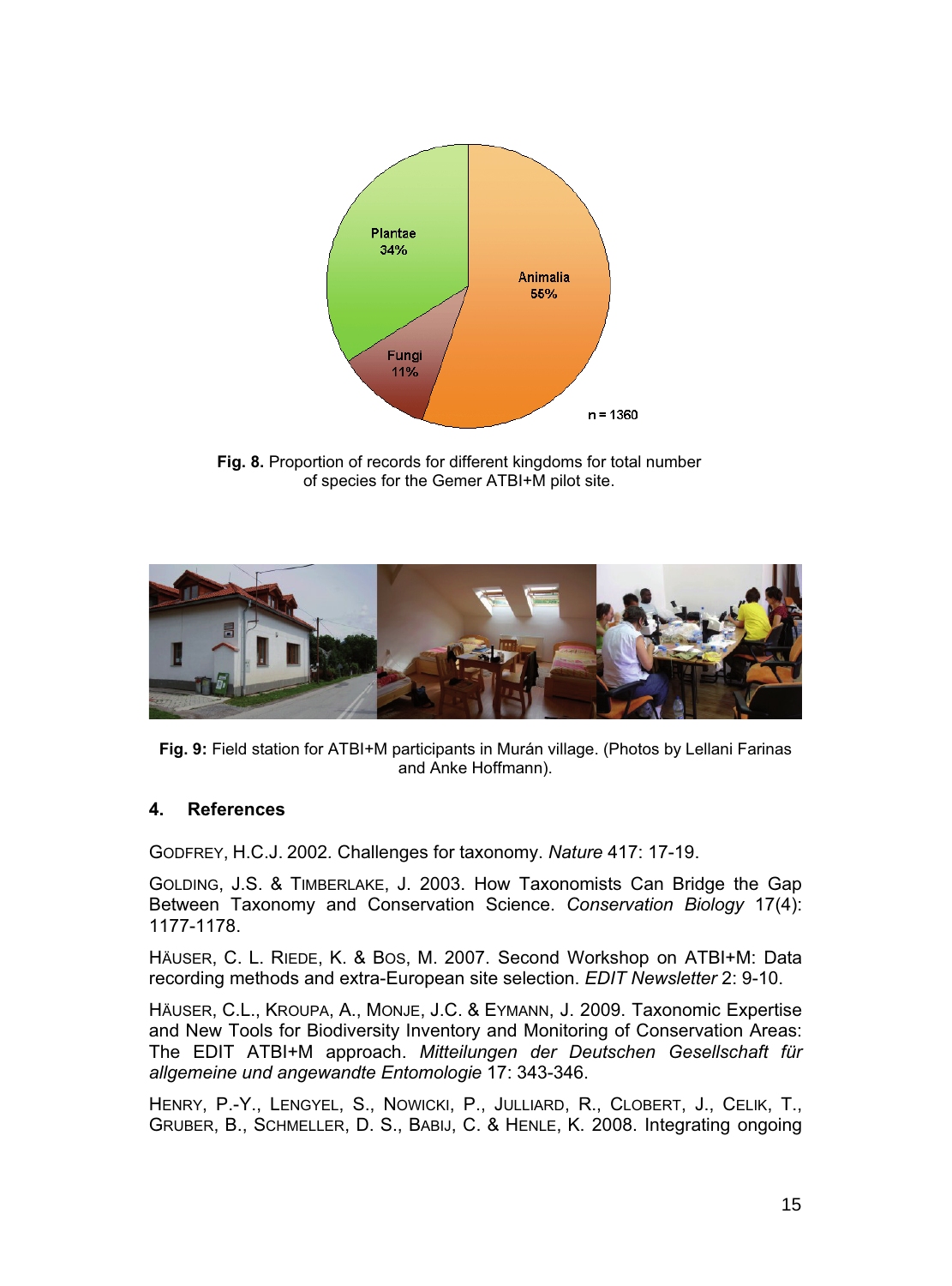

**Fig. 8.** Proportion of records for different kingdoms for total number of species for the Gemer ATBI+M pilot site.



**Fig. 9:** Field station for ATBI+M participants in Murán village. (Photos by Lellani Farinas and Anke Hoffmann).

# **4. References**

GODFREY, H.C.J. 2002*.* Challenges for taxonomy. *Nature* 417: 17-19.

GOLDING, J.S. & TIMBERLAKE, J. 2003. How Taxonomists Can Bridge the Gap Between Taxonomy and Conservation Science. *Conservation Biology* 17(4): 1177-1178.

HÄUSER, C. L. RIEDE, K. & BOS, M. 2007. Second Workshop on ATBI+M: Data recording methods and extra-European site selection. *EDIT Newsletter* 2: 9-10.

HÄUSER, C.L., KROUPA, A., MONJE, J.C. & EYMANN, J. 2009. Taxonomic Expertise and New Tools for Biodiversity Inventory and Monitoring of Conservation Areas: The EDIT ATBI+M approach. *Mitteilungen der Deutschen Gesellschaft für allgemeine und angewandte Entomologie* 17: 343-346.

HENRY, P.-Y., LENGYEL, S., NOWICKI, P., JULLIARD, R., CLOBERT, J., CELIK, T., GRUBER, B., SCHMELLER, D. S., BABIJ, C. & HENLE, K. 2008. Integrating ongoing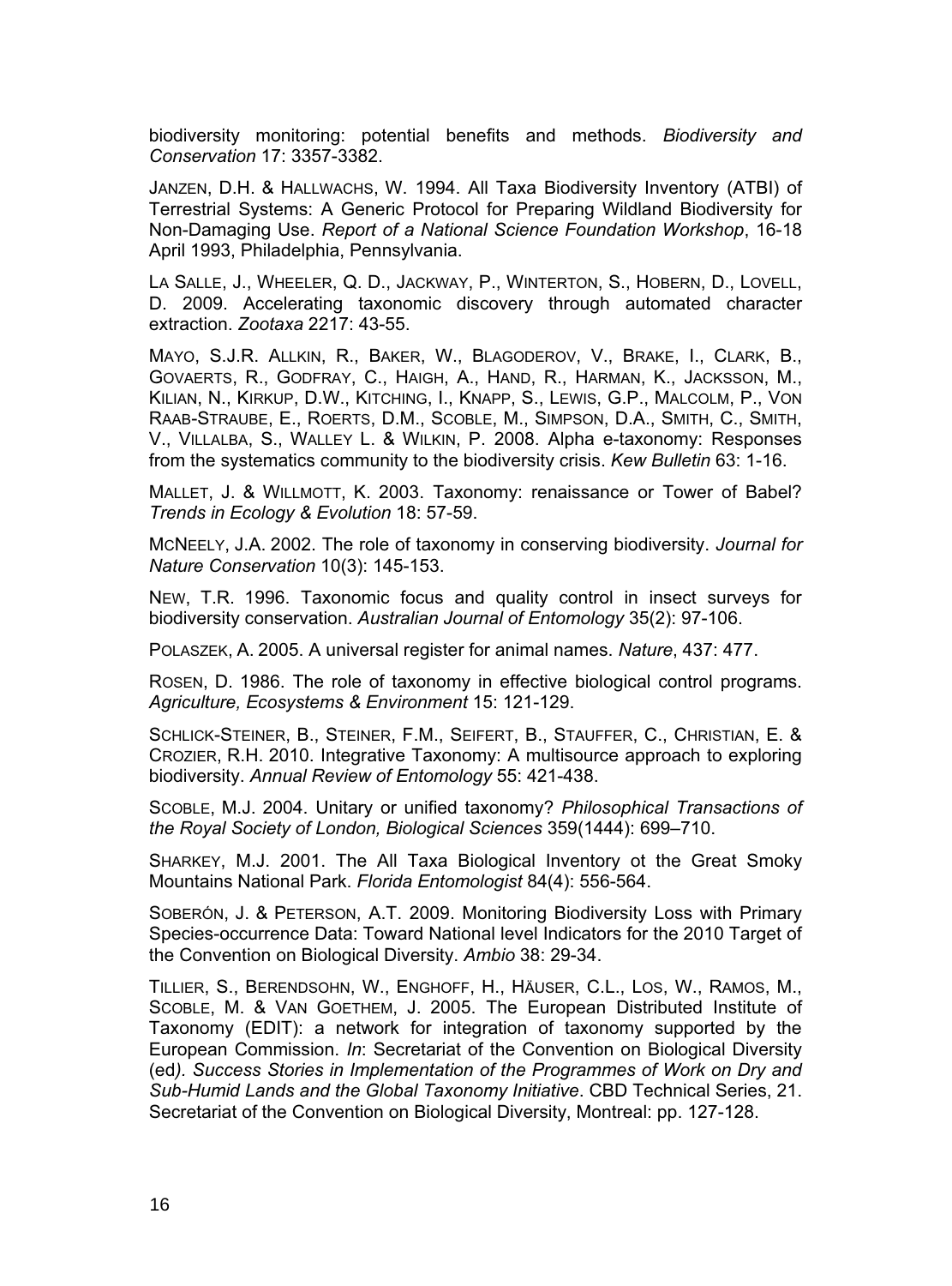biodiversity monitoring: potential benefits and methods. *Biodiversity and Conservation* 17: 3357-3382.

JANZEN, D.H. & HALLWACHS, W. 1994. All Taxa Biodiversity Inventory (ATBI) of Terrestrial Systems: A Generic Protocol for Preparing Wildland Biodiversity for Non-Damaging Use. *Report of a National Science Foundation Workshop*, 16-18 April 1993, Philadelphia, Pennsylvania.

LA SALLE, J., WHEELER, Q. D., JACKWAY, P., WINTERTON, S., HOBERN, D., LOVELL, D. 2009. Accelerating taxonomic discovery through automated character extraction. *Zootaxa* 2217: 43-55.

MAYO, S.J.R. ALLKIN, R., BAKER, W., BLAGODEROV, V., BRAKE, I., CLARK, B., GOVAERTS, R., GODFRAY, C., HAIGH, A., HAND, R., HARMAN, K., JACKSSON, M., KILIAN, N., KIRKUP, D.W., KITCHING, I., KNAPP, S., LEWIS, G.P., MALCOLM, P., VON RAAB-STRAUBE, E., ROERTS, D.M., SCOBLE, M., SIMPSON, D.A., SMITH, C., SMITH, V., VILLALBA, S., WALLEY L. & WILKIN, P. 2008. Alpha e-taxonomy: Responses from the systematics community to the biodiversity crisis. *Kew Bulletin* 63: 1-16.

MALLET, J. & WILLMOTT, K. 2003. Taxonomy: renaissance or Tower of Babel? *Trends in Ecology & Evolution* 18: 57-59.

MCNEELY, J.A. 2002. The role of taxonomy in conserving biodiversity. *Journal for Nature Conservation* 10(3): 145-153.

NEW, T.R. 1996. Taxonomic focus and quality control in insect surveys for biodiversity conservation. *Australian Journal of Entomology* 35(2): 97-106.

POLASZEK, A. 2005. A universal register for animal names. *Nature*, 437: 477.

ROSEN, D. 1986. The role of taxonomy in effective biological control programs. *Agriculture, Ecosystems & Environment* 15: 121-129.

SCHLICK-STEINER, B., STEINER, F.M., SEIFERT, B., STAUFFER, C., CHRISTIAN, E. & CROZIER, R.H. 2010. Integrative Taxonomy: A multisource approach to exploring biodiversity. *Annual Review of Entomology* 55: 421-438.

SCOBLE, M.J. 2004. Unitary or unified taxonomy? *Philosophical Transactions of the Royal Society of London, Biological Sciences* 359(1444): 699–710.

SHARKEY, M.J. 2001. The All Taxa Biological Inventory ot the Great Smoky Mountains National Park. *Florida Entomologist* 84(4): 556-564.

SOBERÓN, J. & PETERSON, A.T. 2009. Monitoring Biodiversity Loss with Primary Species-occurrence Data: Toward National level Indicators for the 2010 Target of the Convention on Biological Diversity. *Ambio* 38: 29-34.

TILLIER, S., BERENDSOHN, W., ENGHOFF, H., HÄUSER, C.L., LOS, W., RAMOS, M., SCOBLE, M. & VAN GOETHEM, J. 2005. The European Distributed Institute of Taxonomy (EDIT): a network for integration of taxonomy supported by the European Commission. *In*: Secretariat of the Convention on Biological Diversity (ed*). Success Stories in Implementation of the Programmes of Work on Dry and Sub-Humid Lands and the Global Taxonomy Initiative*. CBD Technical Series, 21. Secretariat of the Convention on Biological Diversity, Montreal: pp. 127-128.